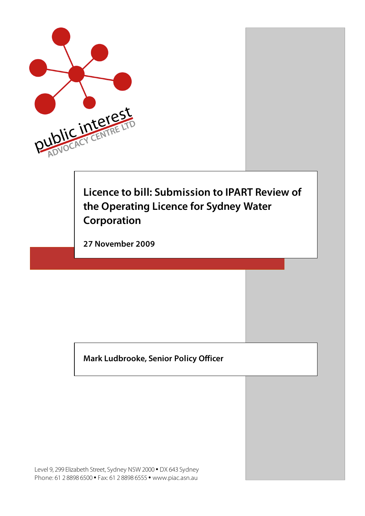

# **Licence to bill: Submission to IPART Review of the Operating Licence for Sydney Water Corporation**

**27 November 2009** 

**Mark Ludbrooke, Senior Policy Officer**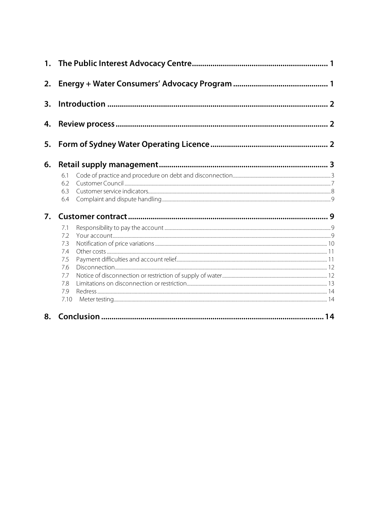| 2. |                                                                    |  |  |
|----|--------------------------------------------------------------------|--|--|
| 3. |                                                                    |  |  |
| 4. |                                                                    |  |  |
| 5. |                                                                    |  |  |
| 6. |                                                                    |  |  |
|    | 6.1<br>6.2<br>6.3<br>6.4                                           |  |  |
| 7. |                                                                    |  |  |
|    | 7.1<br>7.2<br>7.3<br>74<br>7.5<br>7.6<br>7.7<br>7.8<br>7.9<br>7.10 |  |  |
| 8. |                                                                    |  |  |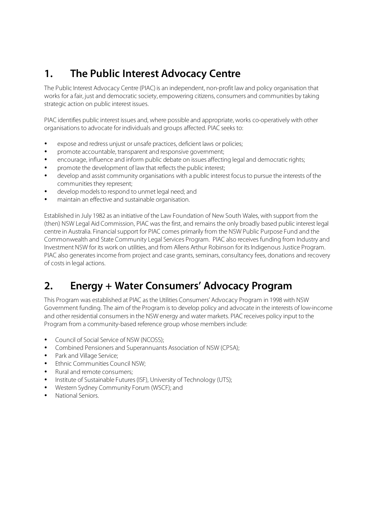# **1. The Public Interest Advocacy Centre**

The Public Interest Advocacy Centre (PIAC) is an independent, non-profit law and policy organisation that works for a fair, just and democratic society, empowering citizens, consumers and communities by taking strategic action on public interest issues.

PIAC identifies public interest issues and, where possible and appropriate, works co-operatively with other organisations to advocate for individuals and groups affected. PIAC seeks to:

- expose and redress unjust or unsafe practices, deficient laws or policies;
- promote accountable, transparent and responsive government;
- encourage, influence and inform public debate on issues affecting legal and democratic rights;
- promote the development of law that reflects the public interest;
- develop and assist community organisations with a public interest focus to pursue the interests of the communities they represent;
- develop models to respond to unmet legal need; and
- maintain an effective and sustainable organisation.

Established in July 1982 as an initiative of the Law Foundation of New South Wales, with support from the (then) NSW Legal Aid Commission, PIAC was the first, and remains the only broadly based public interest legal centre in Australia. Financial support for PIAC comes primarily from the NSW Public Purpose Fund and the Commonwealth and State Community Legal Services Program. PIAC also receives funding from Industry and Investment NSW for its work on utilities, and from Allens Arthur Robinson for its Indigenous Justice Program. PIAC also generates income from project and case grants, seminars, consultancy fees, donations and recovery of costs in legal actions.

# **2. Energy + Water Consumers' Advocacy Program**

This Program was established at PIAC as the Utilities Consumers' Advocacy Program in 1998 with NSW Government funding. The aim of the Program is to develop policy and advocate in the interests of low-income and other residential consumers in the NSW energy and water markets. PIAC receives policy input to the Program from a community-based reference group whose members include:

- Council of Social Service of NSW (NCOSS);
- Combined Pensioners and Superannuants Association of NSW (CPSA);
- Park and Village Service;
- Ethnic Communities Council NSW;
- Rural and remote consumers;
- Institute of Sustainable Futures (ISF), University of Technology (UTS);
- Western Sydney Community Forum (WSCF); and
- National Seniors.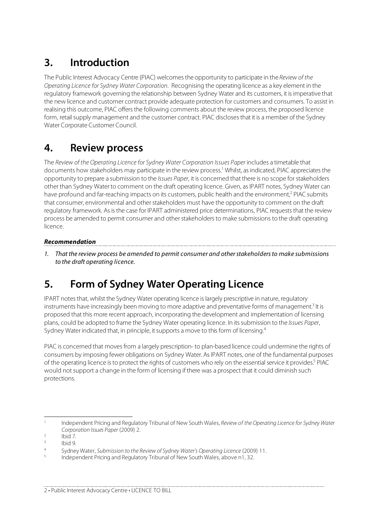# **3. Introduction**

The Public Interest Advocacy Centre (PIAC) welcomes the opportunity to participate in the Review of the Operating Licence for Sydney Water Corporation. Recognising the operating licence as a key element in the regulatory framework governing the relationship between Sydney Water and its customers, it is imperative that the new licence and customer contract provide adequate protection for customers and consumers. To assist in realising this outcome, PIAC offers the following comments about the review process, the proposed licence form, retail supply management and the customer contract. PIAC discloses that it is a member of the Sydney Water Corporate Customer Council.

# **4. Review process**

The Review of the Operating Licence for Sydney Water Corporation Issues Paper includes a timetable that documents how stakeholders may participate in the review process.<sup>1</sup> Whilst, as indicated, PIAC appreciates the opportunity to prepare a submission to the *Issues Paper*, it is concerned that there is no scope for stakeholders other than Sydney Water to comment on the draft operating licence. Given, as IPART notes, Sydney Water can have profound and far-reaching impacts on its customers, public health and the environment,<sup>2</sup> PIAC submits that consumer, environmental and other stakeholders must have the opportunity to comment on the draft regulatory framework. As is the case for IPART administered price determinations, PIAC requests that the review process be amended to permit consumer and other stakeholders to make submissions to the draft operating licence.

### **Recommendation**

1. That the review process be amended to permit consumer and other stakeholders to make submissions to the draft operating licence.

# **5. Form of Sydney Water Operating Licence**

IPART notes that, whilst the Sydney Water operating licence is largely prescriptive in nature, regulatory instruments have increasingly been moving to more adaptive and preventative forms of management.<sup>3</sup> It is proposed that this more recent approach, incorporating the development and implementation of licensing plans, could be adopted to frame the Sydney Water operating licence. In its submission to the Issues Paper, Sydney Water indicated that, in principle, it supports a move to this form of licensing.<sup>4</sup>

PIAC is concerned that moves from a largely prescription- to plan-based licence could undermine the rights of consumers by imposing fewer obligations on Sydney Water. As IPART notes, one of the fundamental purposes of the operating licence is to protect the rights of customers who rely on the essential service it provides.<sup>5</sup> PIAC would not support a change in the form of licensing if there was a prospect that it could diminish such protections.

<sup>&</sup>lt;sup>1</sup> Independent Pricing and Regulatory Tribunal of New South Wales, Review of the Operating Licence for Sydney Water Corporation Issues Paper (2009) 2.<br>
<sup>2</sup> Ibid 7.<br>
<sup>3</sup> Ibid 9.

<sup>&</sup>lt;sup>4</sup> Sydney Water, Submission to the Review of Sydney Water's Operating Licence (2009) 11.<br><sup>5</sup> Independent Pricing and Regulatory Tribunal of New South Wales, above n1, 32.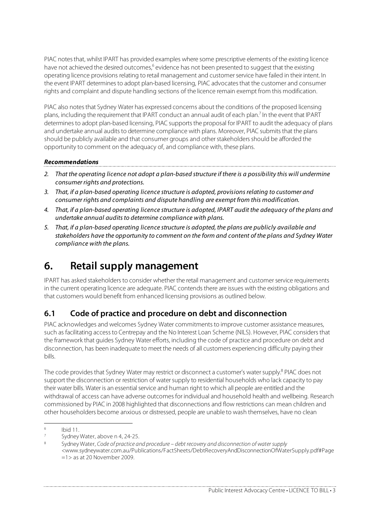PIAC notes that, whilst IPART has provided examples where some prescriptive elements of the existing licence have not achieved the desired outcomes,<sup>6</sup> evidence has not been presented to suggest that the existing operating licence provisions relating to retail management and customer service have failed in their intent. In the event IPART determines to adopt plan-based licensing, PIAC advocates that the customer and consumer rights and complaint and dispute handling sections of the licence remain exempt from this modification.

PIAC also notes that Sydney Water has expressed concerns about the conditions of the proposed licensing plans, including the requirement that IPART conduct an annual audit of each plan.<sup>7</sup> In the event that IPART determines to adopt plan-based licensing, PIAC supports the proposal for IPART to audit the adequacy of plans and undertake annual audits to determine compliance with plans. Moreover, PIAC submits that the plans should be publicly available and that consumer groups and other stakeholders should be afforded the opportunity to comment on the adequacy of, and compliance with, these plans.

#### **Recommendations**

2. That the operating licence not adopt a plan-based structure if there is a possibility this will undermine consumer rights and protections.

<u> 1989 - Johann Stoff, Amerikaansk politiker († 1989)</u>

- 3. That, if a plan-based operating licence structure is adopted, provisions relating to customer and consumer rights and complaints and dispute handling are exempt from this modification.
- 4. That, if a plan-based operating licence structure is adopted, IPART audit the adequacy of the plans and undertake annual audits to determine compliance with plans.
- 5. That, if a plan-based operating licence structure is adopted, the plans are publicly available and stakeholders have the opportunity to comment on the form and content of the plans and Sydney Water compliance with the plans.

# **6. Retail supply management**

IPART has asked stakeholders to consider whether the retail management and customer service requirements in the current operating licence are adequate. PIAC contends there are issues with the existing obligations and that customers would benefit from enhanced licensing provisions as outlined below.

## **6.1 Code of practice and procedure on debt and disconnection**

PIAC acknowledges and welcomes Sydney Water commitments to improve customer assistance measures, such as facilitating access to Centrepay and the No Interest Loan Scheme (NILS). However, PIAC considers that the framework that guides Sydney Water efforts, including the code of practice and procedure on debt and disconnection, has been inadequate to meet the needs of all customers experiencing difficulty paying their bills.

The code provides that Sydney Water may restrict or disconnect a customer's water supply.<sup>8</sup> PIAC does not support the disconnection or restriction of water supply to residential households who lack capacity to pay their water bills. Water is an essential service and human right to which all people are entitled and the withdrawal of access can have adverse outcomes for individual and household health and wellbeing. Research commissioned by PIAC in 2008 highlighted that disconnections and flow restrictions can mean children and other householders become anxious or distressed, people are unable to wash themselves, have no clean

<sup>&</sup>lt;sup>6</sup> Ibid 11.<br><sup>7</sup> Sydney Water, above n 4, 24-25.<br><sup>8</sup> Sydney Water, Co*de of practice and procedure – debt recovery and disconnection of water supply* <www.sydneywater.com.au/Publications/FactSheets/DebtRecoveryAndDisconnectionOfWaterSupply.pdf#Page  $=1$  > as at 20 November 2009.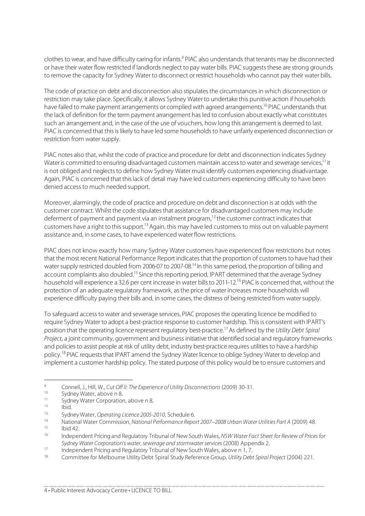clothes to wear, and have difficulty caring for infants.<sup>9</sup> PIAC also understands that tenants may be disconnected or have their water flow restricted if landlords neglect to pay water bills. PIAC suggests these are strong grounds to remove the capacity for Sydney Water to disconnect or restrict households who cannot pay their water bills.

The code of practice on debt and disconnection also stipulates the circumstances in which disconnection or restriction may take place. Specifically, it allows Sydney Water to undertake this punitive action if households have failed to make payment arrangements or complied with agreed arrangements.<sup>10</sup> PIAC understands that the lack of definition for the term payment arrangement has led to confusion about exactly what constitutes such an arrangement and, in the case of the use of vouchers, how long this arrangement is deemed to last. PIAC is concerned that this is likely to have led some households to have unfairly experienced disconnection or restriction from water supply.

PIAC notes also that, whilst the code of practice and procedure for debt and disconnection indicates Sydney Water is committed to ensuring disadvantaged customers maintain access to water and sewerage services,<sup>11</sup> it is not obliged and neglects to define how Sydney Water must identify customers experiencing disadvantage. Again, PIAC is concerned that this lack of detail may have led customers experiencing difficulty to have been denied access to much needed support.

Moreover, alarmingly, the code of practice and procedure on debt and disconnection is at odds with the customer contract. Whilst the code stipulates that assistance for disadvantaged customers may include deferment of payment and payment via an instalment program,<sup>12</sup> the customer contract indicates that customers have a right to this support.<sup>13</sup> Again, this may have led customers to miss out on valuable payment assistance and, in some cases, to have experienced water flow restrictions.

PIAC does not know exactly how many Sydney Water customers have experienced flow restrictions but notes that the most recent National Performance Report indicates that the proportion of customers to have had their water supply restricted doubled from 2006-07 to 2007-08.14 In this same period, the proportion of billing and account complaints also doubled.<sup>15</sup> Since this reporting period, IPART determined that the average Sydney household will experience a 32.6 per cent increase in water bills to 2011-12.16 PIAC is concerned that, without the protection of an adequate regulatory framework, as the price of water increases more households will experience difficulty paying their bills and, in some cases, the distress of being restricted from water supply.

To safeguard access to water and sewerage services, PIAC proposes the operating licence be modified to require Sydney Water to adopt a best-practice response to customer hardship. This is consistent with IPART's position that the operating licence represent regulatory best-practice.17 As defined by the Utility Debt Spiral Project, a joint community, government and business initiative that identified social and regulatory frameworks and policies to assist people at risk of utility debt, industry best-practice requires utilities to have a hardship policy.18 PIAC requests that IPART amend the Sydney Water licence to oblige Sydney Water to develop and implement a customer hardship policy. The stated purpose of this policy would be to ensure customers and

<sup>&</sup>lt;sup>9</sup><br>Connell, J., Hill, W., *Cut Off II: The Experience of Utility Disconnections* (2009) 30-31.<br>Sydney Water, above n 8.<br>It Sydney Water Corporating Licence 2005-2010, Schedule 6.<br>Attional Water Commission, National Perfor

<sup>&</sup>lt;sup>16</sup> Independent Pricing and Regulatory Tribunal of New South Wales, NSW Water Fact Sheet for Review of Prices for Sydney Water Corporation's water, sewerage and stormwater services (2008) Appendix 2.<br>Independent Pricing and Regulatory Tribunal of New South Wales, above n 1, 7.

<sup>17</sup> Independent Pricing and Regulatory Tribunal of New South Wales, above n 1, 7.<br>18 Committee for Melbourne Utility Debt Spiral Study Reference Group, Utility Debt Spiral Project (2004) 221.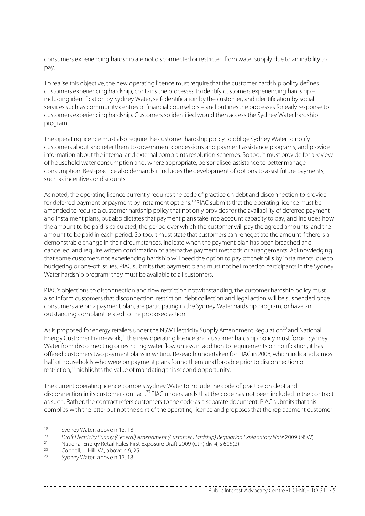consumers experiencing hardship are not disconnected or restricted from water supply due to an inability to pay.

To realise this objective, the new operating licence must require that the customer hardship policy defines customers experiencing hardship, contains the processes to identify customers experiencing hardship – including identification by Sydney Water, self-identification by the customer, and identification by social services such as community centres or financial counsellors – and outlines the processes for early response to customers experiencing hardship. Customers so identified would then access the Sydney Water hardship program.

The operating licence must also require the customer hardship policy to oblige Sydney Water to notify customers about and refer them to government concessions and payment assistance programs, and provide information about the internal and external complaints resolution schemes. So too, it must provide for a review of household water consumption and, where appropriate, personalised assistance to better manage consumption. Best-practice also demands it includes the development of options to assist future payments, such as incentives or discounts.

As noted, the operating licence currently requires the code of practice on debt and disconnection to provide for deferred payment or payment by instalment options.<sup>19</sup> PIAC submits that the operating licence must be amended to require a customer hardship policy that not only provides for the availability of deferred payment and instalment plans, but also dictates that payment plans take into account capacity to pay, and includes how the amount to be paid is calculated, the period over which the customer will pay the agreed amounts, and the amount to be paid in each period. So too, it must state that customers can renegotiate the amount if there is a demonstrable change in their circumstances, indicate when the payment plan has been breached and cancelled, and require written confirmation of alternative payment methods or arrangements. Acknowledging that some customers not experiencing hardship will need the option to pay off their bills by instalments, due to budgeting or one-off issues, PIAC submits that payment plans must not be limited to participants in the Sydney Water hardship program; they must be available to all customers.

PIAC's objections to disconnection and flow restriction notwithstanding, the customer hardship policy must also inform customers that disconnection, restriction, debt collection and legal action will be suspended once consumers are on a payment plan, are participating in the Sydney Water hardship program, or have an outstanding complaint related to the proposed action.

As is proposed for energy retailers under the NSW Electricity Supply Amendment Regulation<sup>20</sup> and National Energy Customer Framework, $^{21}$  the new operating licence and customer hardship policy must forbid Sydney Water from disconnecting or restricting water flow unless, in addition to requirements on notification, it has offered customers two payment plans in writing. Research undertaken for PIAC in 2008, which indicated almost half of households who were on payment plans found them unaffordable prior to disconnection or restriction,<sup>22</sup> highlights the value of mandating this second opportunity.

The current operating licence compels Sydney Water to include the code of practice on debt and disconnection in its customer contract.<sup>23</sup> PIAC understands that the code has not been included in the contract as such. Rather, the contract refers customers to the code as a separate document. PIAC submits that this complies with the letter but not the spirit of the operating licence and proposes that the replacement customer

<sup>&</sup>lt;sup>19</sup> Sydney Water, above n 13, 18.<br><sup>20</sup> Draft Electricity Supply (General) Amendment (Customer Hardship) Regulation Explanatory Note 2009 (NSW)<br><sup>21</sup> National Energy Retail Rules First Exposure Draft 2009 (Cth) div 4, s 605

<sup>&</sup>lt;sup>22</sup> Connell, J., Hill, W., above n 9, 25.

Sydney Water, above n 13, 18.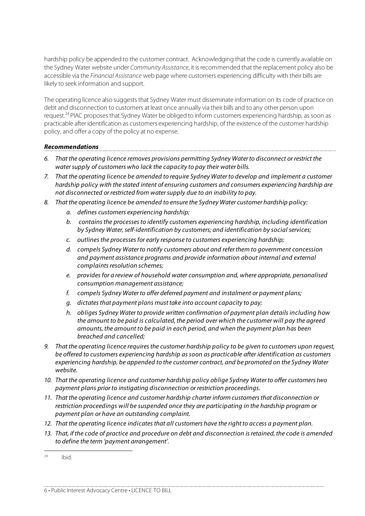hardship policy be appended to the customer contract. Acknowledging that the code is currently available on the Sydney Water website under Community Assistance, it is recommended that the replacement policy also be accessible via the Financial Assistance web page where customers experiencing difficulty with their bills are likely to seek information and support.

The operating licence also suggests that Sydney Water must disseminate information on its code of practice on debt and disconnection to customers at least once annually via their bills and to any other person upon request.<sup>24</sup> PIAC proposes that Sydney Water be obliged to inform customers experiencing hardship, as soon as practicable after identification as customers experiencing hardship, of the existence of the customer hardship policy, and offer a copy of the policy at no expense.

#### **Recommendations**

- 6. That the operating licence removes provisions permitting Sydney Water to disconnect or restrict the water supply of customers who lack the capacity to pay their water bills.
- 7. That the operating licence be amended to require Sydney Water to develop and implement a customer hardship policy with the stated intent of ensuring customers and consumers experiencing hardship are not disconnected or restricted from water supply due to an inability to pay.
- 8. That the operating licence be amended to ensure the Sydney Water customer hardship policy:
	- a. defines customers experiencing hardship;
	- b. contains the processes to identify customers experiencing hardship, including identification by Sydney Water, self-identification by customers; and identification by social services;
	- c. outlines the processes for early response to customers experiencing hardship;
	- d. compels Sydney Water to notify customers about and refer them to government concession and payment assistance programs and provide information about internal and external complaints resolution schemes;
	- e. provides for a review of household water consumption and, where appropriate, personalised consumption management assistance;
	- f. compels Sydney Water to offer deferred payment and instalment or payment plans;
	- g. dictates that payment plans must take into account capacity to pay;
	- h. obliges Sydney Water to provide written confirmation of payment plan details including how the amount to be paid is calculated, the period over which the customer will pay the agreed amounts, the amount to be paid in each period, and when the payment plan has been breached and cancelled;
- 9. That the operating licence requires the customer hardship policy to be given to customers upon request, be offered to customers experiencing hardship as soon as practicable after identification as customers experiencing hardship, be appended to the customer contract, and be promoted on the Sydney Water website.
- 10. That the operating licence and customer hardship policy oblige Sydney Water to offer customers two payment plans prior to instigating disconnection or restriction proceedings.
- 11. That the operating licence and customer hardship charter inform customers that disconnection or restriction proceedings will be suspended once they are participating in the hardship program or payment plan or have an outstanding complaint.
- 12. That the operating licence indicates that all customers have the right to access a payment plan.
- 13. That, if the code of practice and procedure on debt and disconnection is retained, the code is amended to define the term 'payment arrangement'.

 $24$  Ibid.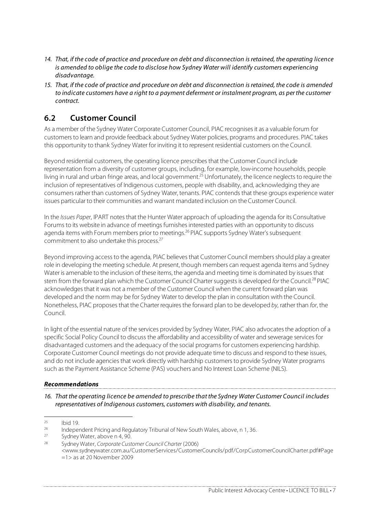- 14. That, if the code of practice and procedure on debt and disconnection is retained, the operating licence is amended to oblige the code to disclose how Sydney Water will identify customers experiencing disadvantage.
- 15. That, if the code of practice and procedure on debt and disconnection is retained, the code is amended to indicate customers have a right to a payment deferment or instalment program, as per the customer contract.

## **6.2 Customer Council**

As a member of the Sydney Water Corporate Customer Council, PIAC recognises it as a valuable forum for customers to learn and provide feedback about Sydney Water policies, programs and procedures. PIAC takes this opportunity to thank Sydney Water for inviting it to represent residential customers on the Council.

Beyond residential customers, the operating licence prescribes that the Customer Council include representation from a diversity of customer groups, including, for example, low-income households, people living in rural and urban fringe areas, and local government.<sup>25</sup> Unfortunately, the licence neglects to require the inclusion of representatives of Indigenous customers, people with disability, and, acknowledging they are consumers rather than customers of Sydney Water, tenants. PIAC contends that these groups experience water issues particular to their communities and warrant mandated inclusion on the Customer Council.

In the Issues Paper, IPART notes that the Hunter Water approach of uploading the agenda for its Consultative Forums to its website in advance of meetings furnishes interested parties with an opportunity to discuss agenda items with Forum members prior to meetings.<sup>26</sup> PIAC supports Sydney Water's subsequent commitment to also undertake this process.27

Beyond improving access to the agenda, PIAC believes that Customer Council members should play a greater role in developing the meeting schedule. At present, though members can request agenda items and Sydney Water is amenable to the inclusion of these items, the agenda and meeting time is dominated by issues that stem from the forward plan which the Customer Council Charter suggests is developed for the Council.<sup>28</sup> PIAC acknowledges that it was not a member of the Customer Council when the current forward plan was developed and the norm may be for Sydney Water to develop the plan in consultation with the Council. Nonetheless, PIAC proposes that the Charter requires the forward plan to be developed by, rather than for, the Council.

In light of the essential nature of the services provided by Sydney Water, PIAC also advocates the adoption of a specific Social Policy Council to discuss the affordability and accessibility of water and sewerage services for disadvantaged customers and the adequacy of the social programs for customers experiencing hardship. Corporate Customer Council meetings do not provide adequate time to discuss and respond to these issues, and do not include agencies that work directly with hardship customers to provide Sydney Water programs such as the Payment Assistance Scheme (PAS) vouchers and No Interest Loan Scheme (NILS).

#### **Recommendations**

16. That the operating licence be amended to prescribe that the Sydney Water Customer Council includes representatives of Indigenous customers, customers with disability, and tenants.

<sup>&</sup>lt;sup>25</sup> Ibid 19.<br><sup>26</sup> Independent Pricing and Regulatory Tribunal of New South Wales, above, n 1, 36.<br><sup>27</sup> Sydney Water, above n 4, 90.

<sup>28</sup> Sydney Water, Corporate Customer Council Charter (2006) <www.sydneywater.com.au/CustomerServices/CustomerCouncils/pdf/CorpCustomerCouncilCharter.pdf#Page =1> as at 20 November 2009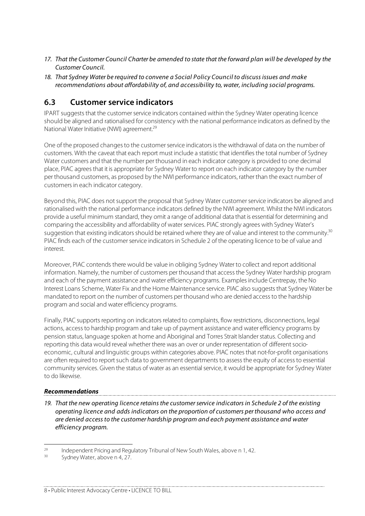- 17. That the Customer Council Charter be amended to state that the forward plan will be developed by the Customer Council.
- 18. That Sydney Water be required to convene a Social Policy Council to discuss issues and make recommendations about affordability of, and accessibility to, water, including social programs.

## **6.3 Customer service indicators**

IPART suggests that the customer service indicators contained within the Sydney Water operating licence should be aligned and rationalised for consistency with the national performance indicators as defined by the National Water Initiative (NWI) agreement.29

One of the proposed changes to the customer service indicators is the withdrawal of data on the number of customers. With the caveat that each report must include a statistic that identifies the total number of Sydney Water customers and that the number per thousand in each indicator category is provided to one decimal place, PIAC agrees that it is appropriate for Sydney Water to report on each indicator category by the number per thousand customers, as proposed by the NWI performance indicators, rather than the exact number of customers in each indicator category.

Beyond this, PIAC does not support the proposal that Sydney Water customer service indicators be aligned and rationalised with the national performance indicators defined by the NWI agreement. Whilst the NWI indicators provide a useful minimum standard, they omit a range of additional data that is essential for determining and comparing the accessibility and affordability of water services. PIAC strongly agrees with Sydney Water's suggestion that existing indicators should be retained where they are of value and interest to the community.<sup>30</sup> PIAC finds each of the customer service indicators in Schedule 2 of the operating licence to be of value and interest.

Moreover, PIAC contends there would be value in obliging Sydney Water to collect and report additional information. Namely, the number of customers per thousand that access the Sydney Water hardship program and each of the payment assistance and water efficiency programs. Examples include Centrepay, the No Interest Loans Scheme, Water Fix and the Home Maintenance service. PIAC also suggests that Sydney Water be mandated to report on the number of customers per thousand who are denied access to the hardship program and social and water efficiency programs.

Finally, PIAC supports reporting on indicators related to complaints, flow restrictions, disconnections, legal actions, access to hardship program and take up of payment assistance and water efficiency programs by pension status, language spoken at home and Aboriginal and Torres Strait Islander status. Collecting and reporting this data would reveal whether there was an over or under representation of different socioeconomic, cultural and linguistic groups within categories above. PIAC notes that not-for-profit organisations are often required to report such data to government departments to assess the equity of access to essential community services. Given the status of water as an essential service, it would be appropriate for Sydney Water to do likewise.

#### **Recommendations**

19. That the new operating licence retains the customer service indicators in Schedule 2 of the existing operating licence and adds indicators on the proportion of customers per thousand who access and are denied access to the customer hardship program and each payment assistance and water efficiency program.

<sup>&</sup>lt;sup>29</sup> Independent Pricing and Regulatory Tribunal of New South Wales, above n 1, 42.<br><sup>30</sup> Sydney Water, above n 4, 27.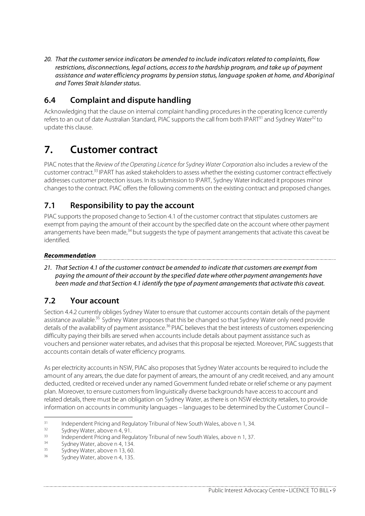20. That the customer service indicators be amended to include indicators related to complaints, flow restrictions, disconnections, legal actions, access to the hardship program, and take up of payment assistance and water efficiency programs by pension status, language spoken at home, and Aboriginal and Torres Strait Islander status.

## **6.4 Complaint and dispute handling**

Acknowledging that the clause on internal complaint handling procedures in the operating licence currently refers to an out of date Australian Standard, PIAC supports the call from both IPART<sup>31</sup> and Sydney Water<sup>32</sup> to update this clause.

# **7. Customer contract**

PIAC notes that the Review of the Operating Licence for Sydney Water Corporation also includes a review of the customer contract.33 IPART has asked stakeholders to assess whether the existing customer contract effectively addresses customer protection issues. In its submission to IPART, Sydney Water indicated it proposes minor changes to the contract. PIAC offers the following comments on the existing contract and proposed changes.

## **7.1 Responsibility to pay the account**

PIAC supports the proposed change to Section 4.1 of the customer contract that stipulates customers are exempt from paying the amount of their account by the specified date on the account where other payment arrangements have been made,<sup>34</sup> but suggests the type of payment arrangements that activate this caveat be identified.

### **Recommendation**

21. That Section 4.1 of the customer contract be amended to indicate that customers are exempt from paying the amount of their account by the specified date where other payment arrangements have been made and that Section 4.1 identify the type of payment arrangements that activate this caveat.

## **7.2 Your account**

Section 4.4.2 currently obliges Sydney Water to ensure that customer accounts contain details of the payment assistance available.<sup>35</sup> Sydney Water proposes that this be changed so that Sydney Water only need provide details of the availability of payment assistance.<sup>36</sup> PIAC believes that the best interests of customers experiencing difficulty paying their bills are served when accounts include details about payment assistance such as vouchers and pensioner water rebates, and advises that this proposal be rejected. Moreover, PIAC suggests that accounts contain details of water efficiency programs.

As per electricity accounts in NSW, PIAC also proposes that Sydney Water accounts be required to include the amount of any arrears, the due date for payment of arrears, the amount of any credit received, and any amount deducted, credited or received under any named Government funded rebate or relief scheme or any payment plan. Moreover, to ensure customers from linguistically diverse backgrounds have access to account and related details, there must be an obligation on Sydney Water, as there is on NSW electricity retailers, to provide information on accounts in community languages – languages to be determined by the Customer Council –

<sup>31</sup> Independent Pricing and Regulatory Tribunal of New South Wales, above n 1, 34.<br>
32 Sydney Water, above n 4, 91.<br>
33 Independent Pricing and Regulatory Tribunal of new South Wales, above n 1, 37.<br>
34 Sydney Water, above

 $35$  Sydney Water, above n 13, 60.

Sydney Water, above n 4, 135.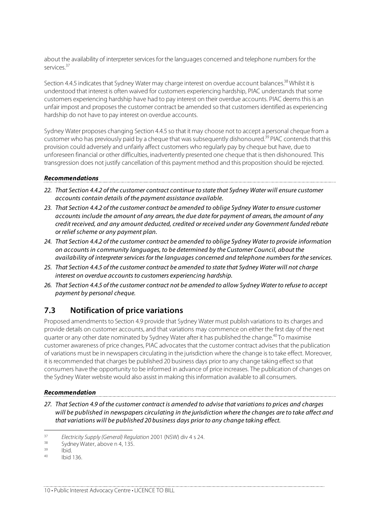about the availability of interpreter services for the languages concerned and telephone numbers for the services.37

Section 4.4.5 indicates that Sydney Water may charge interest on overdue account balances.<sup>38</sup> Whilst it is understood that interest is often waived for customers experiencing hardship, PIAC understands that some customers experiencing hardship have had to pay interest on their overdue accounts. PIAC deems this is an unfair impost and proposes the customer contract be amended so that customers identified as experiencing hardship do not have to pay interest on overdue accounts.

Sydney Water proposes changing Section 4.4.5 so that it may choose not to accept a personal cheque from a customer who has previously paid by a cheque that was subsequently dishonoured.<sup>39</sup> PIAC contends that this provision could adversely and unfairly affect customers who regularly pay by cheque but have, due to unforeseen financial or other difficulties, inadvertently presented one cheque that is then dishonoured. This transgression does not justify cancellation of this payment method and this proposition should be rejected.

#### **Recommendations**

- 22. That Section 4.4.2 of the customer contract continue to state that Sydney Water will ensure customer accounts contain details of the payment assistance available.
- 23. That Section 4.4.2 of the customer contract be amended to oblige Sydney Water to ensure customer accounts include the amount of any arrears, the due date for payment of arrears, the amount of any credit received, and any amount deducted, credited or received under any Government funded rebate or relief scheme or any payment plan.
- 24. That Section 4.4.2 of the customer contract be amended to oblige Sydney Water to provide information on accounts in community languages, to be determined by the Customer Council, about the availability of interpreter services for the languages concerned and telephone numbers for the services.
- 25. That Section 4.4.5 of the customer contract be amended to state that Sydney Water will not charge interest on overdue accounts to customers experiencing hardship.
- 26. That Section 4.4.5 of the customer contract not be amended to allow Sydney Water to refuse to accept payment by personal cheque.

### **7.3 Notification of price variations**

Proposed amendments to Section 4.9 provide that Sydney Water must publish variations to its charges and provide details on customer accounts, and that variations may commence on either the first day of the next quarter or any other date nominated by Sydney Water after it has published the change.<sup>40</sup> To maximise customer awareness of price changes, PIAC advocates that the customer contract advises that the publication of variations must be in newspapers circulating in the jurisdiction where the change is to take effect. Moreover, it is recommended that charges be published 20 business days prior to any change taking effect so that consumers have the opportunity to be informed in advance of price increases. The publication of changes on the Sydney Water website would also assist in making this information available to all consumers.

#### **Recommendation**

27. That Section 4.9 of the customer contract is amended to advise that variations to prices and charges will be published in newspapers circulating in the jurisdiction where the changes are to take affect and that variations will be published 20 business days prior to any change taking effect.

<sup>&</sup>lt;sup>37</sup> Electricity Supply (General) Regulation 2001 (NSW) div 4 s 24.<br><sup>38</sup> Sydney Water, above n 4, 135.

 $\frac{39}{40}$  Ibid.

Ibid 136.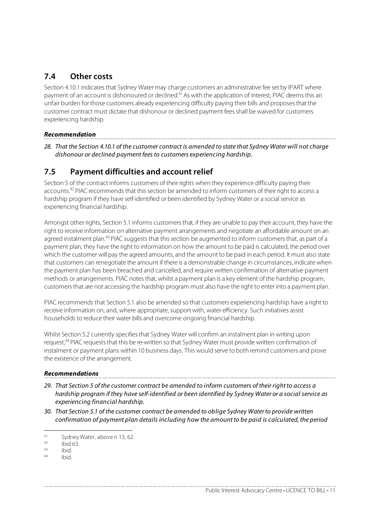## **7.4 Other costs**

Section 4.10.1 indicates that Sydney Water may charge customers an administrative fee set by IPART where payment of an account is dishonoured or declined.<sup>41</sup> As with the application of interest, PIAC deems this an unfair burden for those customers already experiencing difficulty paying their bills and proposes that the customer contract must dictate that dishonour or declined payment fees shall be waived for customers experiencing hardship.

#### **Recommendation**

28. That the Section 4.10.1 of the customer contract is amended to state that Sydney Water will not charge dishonour or declined payment fees to customers experiencing hardship.

### **7.5 Payment difficulties and account relief**

Section 5 of the contract informs customers of their rights when they experience difficulty paying their accounts.<sup>42</sup> PIAC recommends that this section be amended to inform customers of their right to access a hardship program if they have self-identified or been identified by Sydney Water or a social service as experiencing financial hardship.

Amongst other rights, Section 5.1 informs customers that, if they are unable to pay their account, they have the right to receive information on alternative payment arrangements and negotiate an affordable amount on an agreed instalment plan.<sup>43</sup> PIAC suggests that this section be augmented to inform customers that, as part of a payment plan, they have the right to information on how the amount to be paid is calculated, the period over which the customer will pay the agreed amounts, and the amount to be paid in each period. It must also state that customers can renegotiate the amount if there is a demonstrable change in circumstances, indicate when the payment plan has been breached and cancelled, and require written confirmation of alternative payment methods or arrangements. PIAC notes that, whilst a payment plan is a key element of the hardship program, customers that are not accessing the hardship program must also have the right to enter into a payment plan.

PIAC recommends that Section 5.1 also be amended so that customers experiencing hardship have a right to receive information on, and, where appropriate, support with, water efficiency. Such initiatives assist households to reduce their water bills and overcome ongoing financial hardship.

Whilst Section 5.2 currently specifies that Sydney Water will confirm an instalment plan in writing upon request,<sup>44</sup> PIAC requests that this be re-written so that Sydney Water must provide written confirmation of instalment or payment plans within 10 business days. This would serve to both remind customers and prove the existence of the arrangement.

#### **Recommendations**

- 29. That Section 5 of the customer contract be amended to inform customers of their right to access a hardship program if they have self-identified or been identified by Sydney Water or a social service as experiencing financial hardship.
- 30. That Section 5.1 of the customer contract be amended to oblige Sydney Water to provide written confirmation of payment plan details including how the amount to be paid is calculated, the period

<sup>41</sup> Sydney Water, above n 13, 62.

<sup>42</sup> Ibid 63. 43 Ibid. 44 Ibid.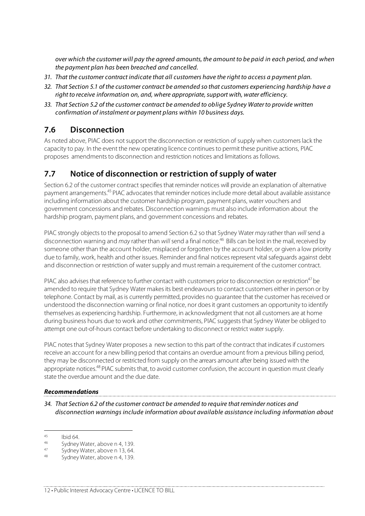over which the customer will pay the agreed amounts, the amount to be paid in each period, and when the payment plan has been breached and cancelled.

- 31. That the customer contract indicate that all customers have the right to access a payment plan.
- 32. That Section 5.1 of the customer contract be amended so that customers experiencing hardship have a right to receive information on, and, where appropriate, support with, water efficiency.
- 33. That Section 5.2 of the customer contract be amended to oblige Sydney Water to provide written confirmation of instalment or payment plans within 10 business days.

### **7.6 Disconnection**

As noted above, PIAC does not support the disconnection or restriction of supply when customers lack the capacity to pay. In the event the new operating licence continues to permit these punitive actions, PIAC proposes amendments to disconnection and restriction notices and limitations as follows.

### **7.7 Notice of disconnection or restriction of supply of water**

Section 6.2 of the customer contract specifies that reminder notices will provide an explanation of alternative payment arrangements.<sup>45</sup> PIAC advocates that reminder notices include more detail about available assistance including information about the customer hardship program, payment plans, water vouchers and government concessions and rebates. Disconnection warnings must also include information about the hardship program, payment plans, and government concessions and rebates.

PIAC strongly objects to the proposal to amend Section 6.2 so that Sydney Water may rather than will send a disconnection warning and may rather than will send a final notice.<sup>46</sup> Bills can be lost in the mail, received by someone other than the account holder, misplaced or forgotten by the account holder, or given a low priority due to family, work, health and other issues. Reminder and final notices represent vital safeguards against debt and disconnection or restriction of water supply and must remain a requirement of the customer contract.

PIAC also advises that reference to further contact with customers prior to disconnection or restriction<sup>47</sup> be amended to require that Sydney Water makes its best endeavours to contact customers either in person or by telephone. Contact by mail, as is currently permitted, provides no guarantee that the customer has received or understood the disconnection warning or final notice, nor does it grant customers an opportunity to identify themselves as experiencing hardship. Furthermore, in acknowledgment that not all customers are at home during business hours due to work and other commitments, PIAC suggests that Sydney Water be obliged to attempt one out-of-hours contact before undertaking to disconnect or restrict water supply.

PIAC notes that Sydney Water proposes a new section to this part of the contract that indicates if customers receive an account for a new billing period that contains an overdue amount from a previous billing period, they may be disconnected or restricted from supply on the arrears amount after being issued with the appropriate notices.<sup>48</sup> PIAC submits that, to avoid customer confusion, the account in question must clearly state the overdue amount and the due date.

#### **Recommendations**

34. That Section 6.2 of the customer contract be amended to require that reminder notices and disconnection warnings include information about available assistance including information about

 $^{45}$  Ibid 64.

 $^{46}$  Sydney Water, above n 4, 139.

<sup>&</sup>lt;sup>47</sup> Sydney Water, above n 13, 64.<br><sup>48</sup> Sydney Water, above n 4, 139.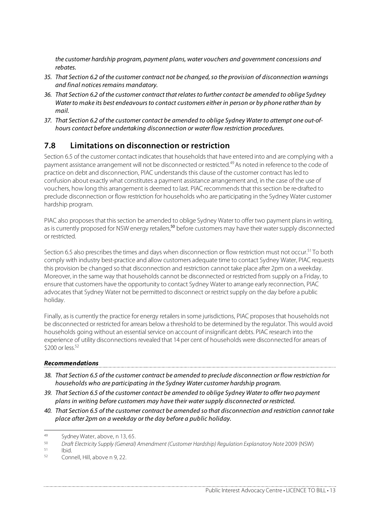the customer hardship program, payment plans, water vouchers and government concessions and rebates.

- 35. That Section 6.2 of the customer contract not be changed, so the provision of disconnection warnings and final notices remains mandatory.
- 36. That Section 6.2 of the customer contract that relates to further contact be amended to oblige Sydney Water to make its best endeavours to contact customers either in person or by phone rather than by mail.
- 37. That Section 6.2 of the customer contact be amended to oblige Sydney Water to attempt one out-ofhours contact before undertaking disconnection or water flow restriction procedures.

### **7.8 Limitations on disconnection or restriction**

Section 6.5 of the customer contact indicates that households that have entered into and are complying with a payment assistance arrangement will not be disconnected or restricted.49 As noted in reference to the code of practice on debt and disconnection, PIAC understands this clause of the customer contract has led to confusion about exactly what constitutes a payment assistance arrangement and, in the case of the use of vouchers, how long this arrangement is deemed to last. PIAC recommends that this section be re-drafted to preclude disconnection or flow restriction for households who are participating in the Sydney Water customer hardship program.

PIAC also proposes that this section be amended to oblige Sydney Water to offer two payment plans in writing, as is currently proposed for NSW energy retailers,<sup>50</sup> before customers may have their water supply disconnected or restricted.

Section 6.5 also prescribes the times and days when disconnection or flow restriction must not occur.<sup>51</sup> To both comply with industry best-practice and allow customers adequate time to contact Sydney Water, PIAC requests this provision be changed so that disconnection and restriction cannot take place after 2pm on a weekday. Moreover, in the same way that households cannot be disconnected or restricted from supply on a Friday, to ensure that customers have the opportunity to contact Sydney Water to arrange early reconnection, PIAC advocates that Sydney Water not be permitted to disconnect or restrict supply on the day before a public holiday.

Finally, as is currently the practice for energy retailers in some jurisdictions, PIAC proposes that households not be disconnected or restricted for arrears below a threshold to be determined by the regulator. This would avoid households going without an essential service on account of insignificant debts. PIAC research into the experience of utility disconnections revealed that 14 per cent of households were disconnected for arrears of \$200 or less.52

#### **Recommendations**

- 38. That Section 6.5 of the customer contract be amended to preclude disconnection or flow restriction for households who are participating in the Sydney Water customer hardship program.
- 39. That Section 6.5 of the customer contact be amended to oblige Sydney Water to offer two payment plans in writing before customers may have their water supply disconnected or restricted.
- 40. That Section 6.5 of the customer contract be amended so that disconnection and restriction cannot take place after 2pm on a weekday or the day before a public holiday.

 <sup>49</sup> Sydney Water, above, n 13, 65.

<sup>50</sup> Draft Electricity Supply (General) Amendment (Customer Hardship) Regulation Explanatory Note 2009 (NSW)<br>51 Ibid

 $\frac{51}{52}$  Ibid.

<sup>52</sup> Connell, Hill, above n 9, 22.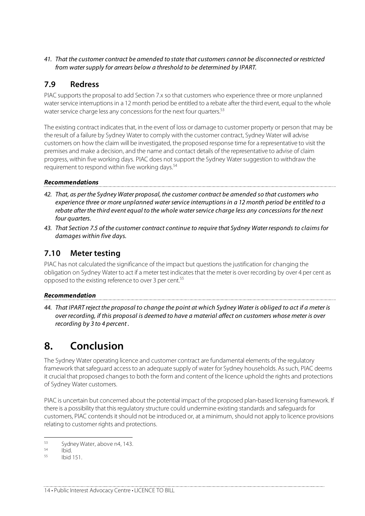41. That the customer contract be amended to state that customers cannot be disconnected or restricted from water supply for arrears below a threshold to be determined by IPART.

## **7.9 Redress**

PIAC supports the proposal to add Section 7.x so that customers who experience three or more unplanned water service interruptions in a 12 month period be entitled to a rebate after the third event, equal to the whole water service charge less any concessions for the next four quarters.<sup>53</sup>

The existing contract indicates that, in the event of loss or damage to customer property or person that may be the result of a failure by Sydney Water to comply with the customer contract, Sydney Water will advise customers on how the claim will be investigated, the proposed response time for a representative to visit the premises and make a decision, and the name and contact details of the representative to advise of claim progress, within five working days. PIAC does not support the Sydney Water suggestion to withdraw the requirement to respond within five working days.<sup>54</sup>

#### **Recommendations**

- 42. That, as per the Sydney Water proposal, the customer contract be amended so that customers who experience three or more unplanned water service interruptions in a 12 month period be entitled to a rebate after the third event equal to the whole water service charge less any concessions for the next four quarters.
- 43. That Section 7.5 of the customer contract continue to require that Sydney Water responds to claims for damages within five days.

### **7.10 Meter testing**

PIAC has not calculated the significance of the impact but questions the justification for changing the obligation on Sydney Water to act if a meter test indicates that the meter is over recording by over 4 per cent as opposed to the existing reference to over 3 per cent.55

#### **Recommendation**

44. That IPART reject the proposal to change the point at which Sydney Water is obliged to act if a meter is over recording, if this proposal is deemed to have a material affect on customers whose meter is over recording by 3 to 4 percent .

# **8. Conclusion**

The Sydney Water operating licence and customer contract are fundamental elements of the regulatory framework that safeguard access to an adequate supply of water for Sydney households. As such, PIAC deems it crucial that proposed changes to both the form and content of the licence uphold the rights and protections of Sydney Water customers.

PIAC is uncertain but concerned about the potential impact of the proposed plan-based licensing framework. If there is a possibility that this regulatory structure could undermine existing standards and safeguards for customers, PIAC contends it should not be introduced or, at a minimum, should not apply to licence provisions relating to customer rights and protections.

14 • Public Interest Advocacy Centre • LICENCE TO BILL

 $53$  Sydney Water, above n4, 143.

 $54$  Ibid.<br> $55$  Ibid 151.